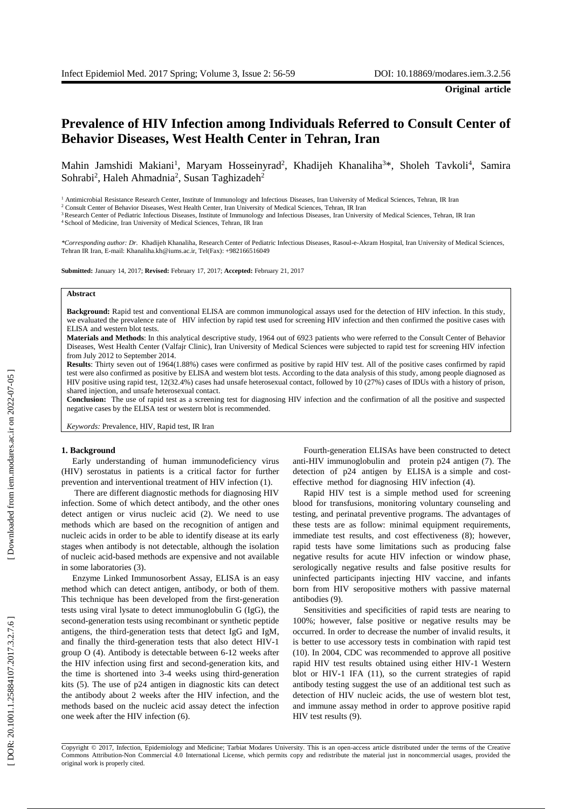# **Prevalence of HIV Infection among Individuals Refer red to Consult Center of Behavior Diseases , West Health Center in Tehran, Iran**

Mahin Jamshidi Makiani<sup>1</sup>, Maryam Hosseinyrad<sup>2</sup>, Khadijeh Khanaliha<sup>3\*</sup>, Sholeh Tavkoli<sup>4</sup>, Samira Sohrabi<sup>2</sup>, Haleh Ahmadnia<sup>2</sup>, Susan Taghizadeh<sup>2</sup>

<sup>1</sup> Antimicrobial Resistance Research Center, Institute of Immunology and Infectious Diseases, Iran University of Medical Sciences, Tehran, IR Iran

<sup>2</sup> Consult Center of Behavior Diseases, West Health Center, Iran University of Medical Sciences, Tehran, IR Iran

<sup>3</sup> Research Center of Pediatric Infectious Diseases, Institute of Immunology and Infectious Diseases, Iran University of Medical Sciences, Tehran, IR Iran

<sup>4</sup> School of Medicine, Iran University of Medical Sciences, Tehran, IR Iran

*\*Corresponding author: Dr.* Khadijeh Khanaliha, Research Center of Pediatric Infectious Diseases, Rasoul-e-Akram Hospital, Iran University of Medical Sciences, Tehran IR Iran, E -mail[: Khanaliha.kh@iums.ac.ir,](mailto:Khanaliha.kh@iums.ac.ir) Tel(Fax): +982166516049

**Submitted:** January 14, 2017; **Revised:** February 17, 2017; **Accepted:** February 21, 2017

#### **Abstract**

Background: Rapid test and conventional ELISA are common immunological assays used for the detection of HIV infection. In this study, we evaluated the prevalence rate of HIV infection by rapid test used for screening HIV infection and then confirmed the positive cases with ELISA and western blot tests.

**Materials and Methods**: In this analytical descriptive study, 1964 out of 6923 patients who were referred to the Consult Center of Behavior Diseases, West Health Center (Valfajr Clinic), Iran University of Medical Sciences were subjected to rapid test for screening HIV infection from July 2012 to September 2014.

**Results**: Thirty seven out of 1964(1.88%) cases were confirmed as positive by rapid HIV test. All of the positive cases confirmed by rapid test were also confirmed as positive by ELISA and western blot tes t s. According to the data analysis of this study , among people diagnosed as HIV positive using rapid test, 12(32.4%) cases had unsafe heterosexual contact , followed by 10 (27%) cases of IDUs with a history of prison, shared injection , and unsafe heterosexual contact.

**Conclusion:** The use of rapid test as a screening test for diagnosing HIV infection and the confirmation of all the positive and suspected negative cases by the ELISA test or western blot is recommended.

*Keywords:* Prevalence, HIV, Rapid test, IR Iran

## **1. Background**

Early understanding of human immunodeficiency virus (HIV) serostatus in patients is a critical factor for further prevention and interventional treatment of HIV infection (1) .

There are different diagnostic methods for diagnosing HIV infection. Some of which detect antibody , and the other ones detect antigen or virus nucleic acid (2 ). We need to use methods which are based on the recognition of antigen and nucleic acids in order to be able to identify disease at its early stage s when antibody is not detectable, although the isolation of nucleic acid -based methods are expensive and not available in some laboratories ( 3 ) .

Enzyme Linked Immunosorbent Assay, ELISA is an easy method which can detect antigen, antibody , or both of them . This technique has been developed from the first -generation tests using viral lysate to detect immunoglobulin G (IgG), the second -generation tests using recombinant or synthetic peptide antigens, the third -generation tests that detect IgG and IgM, and finally the third -generation tests that also detect HIV -1 group O (4). Antibody is detectable between 6 -12 weeks after the HIV infection using first and second -generation kits , and the time is shortened into 3 -4 weeks using third -generation kits (5 ). The use of p24 antigen in diagnostic kits can detect the antibody about 2 weeks after the HIV infection , and the method s based on the nucleic acid assay detect the infection one week after the HIV infection (6).

Fourth -generation ELISAs have been constructed to detect anti -HIV immunoglobulin and protein p24 antigen (7) . The detection of p24 antigen by ELISA is a simple and cost effective method for diagnosing HIV infection (4). Rapid HIV test is a simple method used for screening

blood for transfusions, monitoring voluntary counseling and testing , and perinatal preventive programs. The advantages of these tests are as follow: minimal equipment requirements, immediate test results, and cost effectiveness (8); however, rapid tests have some limitations such as producing false negative results for acute HIV infection or window phase , serologically negative results and false positive results for uninfected participants injecting HIV vaccine , and infants born from HIV seropositive mothers with passive maternal antibodies (9) .

Sensitivities and specificities of rapid tests are nearing to 100% ; however , false positive or negative results may be occurred. In order to decrease the number of invalid results, it is better to use accessory tests in combination with rapid test (10). In 2004, CDC was recommended to approve all positive rapid HIV test results obtained using either HIV -1 Western blot or HIV -1 IFA ( 1 1 ) , so the current strategies of rapid antibody testing suggest the us e of an additional tes t such as detection of HIV nucleic acids , the use of western blot test , and immune assay method in order to approve positive rapid HIV test results ( 9).

Copyright © 2017, Infection, Epidemiology and Medicine; Tarbiat Modares University. This is an open -access article distributed under the terms of the Creative Commons Attribution-Non Commercial 4.0 International License, which permits copy and redistribute the material just in noncommercial usages, provided the original work is properly cited .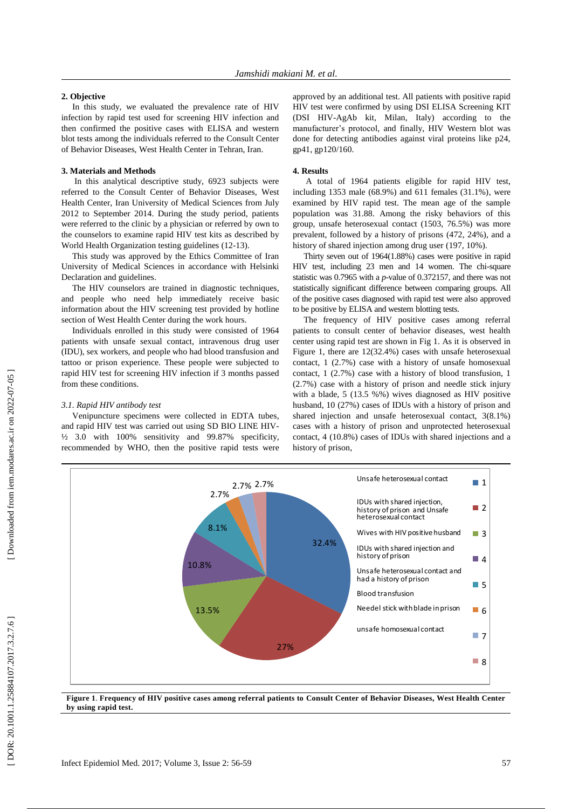# **2. Objective**

In this study , we evaluated the prevalence rate of HIV infection by rapid test used for screening HIV infection and then confirmed the positive cases with ELISA and western blot test s among the individuals refer red to the Consult Center of Behavior Diseases , West Health Center in Tehran, Iran.

### **3. Materials and Methods**

In this analytical descriptive study, 6923 subjects were refer red to the Consult Center of Behavior Diseases, West Health Center, Iran University of Medical Sciences from July 2012 to September 2014. During the study period, patients were referred to the clinic by a physician or referred by own to the counselors to examine rapid HIV test kits as described by World Health Organization testing guidelines (12-13).

This study was approved by the Ethics Committee of Iran University of Medical Sciences in accordance with Helsinki Declaration and guidelines .

The HIV counselors are trained in diagnostic techniques , and people who need help immediately receive basic information about the HIV screening test provided by hotline section of West Health Center during the work hours.

Individual s enrolled in this study were consisted of 1964 patients with unsafe sexual contact, intravenous drug user (IDU), sex workers , and people who had blood transfusion and tattoo or prison experience. These people were subjected to rapid HIV test for screening HIV infection if 3 months passed from these conditions .

## *3.1. Rapid HIV antibody test*

Venipuncture specimens were collected in EDTA tubes , and rapid HIV test was carried out using SD BIO LINE HIV - ½ 3.0 with 100% sensitivity and 99.87% specificity , recommended by WHO , then the positive rapid test s were approved by an additional test. All patients with positive rapid HIV test were confirmed by using DSI ELISA Screening KIT (DSI HIV -AgAb kit, Milan, Italy) according to the manufacturer's protocol , and finally , HIV Western blot was done for detecting antibodies against viral proteins like p24, gp4 1, gp120/160.

#### **4. Results**

A total of 1964 patients eligible for rapid HIV test , including 1353 male (68.9%) and 611 females (31.1%) , were examined by HIV rapid test. The mean age of the sample population was 31.88. Among the risky behaviors of this group, unsafe heterosexual contact (1503 , 76.5%) was more prevalent, followed by a history of prisons (472, 24%), and a history of shared injection among drug user (197, 10% ).

Thirty seven out of 1964(1.88%) cases were positive in rapid HIV test , including 23 men and 14 women. The chi -square statistic was 0.7965 with a *p* -value of 0.372157 , and there was not statistically significant difference between comparing groups . All of the positive cases diagnosed with rapid test were also approved to be positive by ELISA and western blotting test s .

The frequency of HIV positive cases among referral patients to consult center of behavior diseases, west health center using rapid test are shown in Fig 1. As it is observed in Figure 1, there are 12(32.4%) cases with unsafe heterosexual contact, 1 (2.7%) case with a history of unsafe homosexual contact, 1 (2.7%) case with a history of blood transfusion, 1 (2.7%) case with a history of prison and needle stick injury with a blade, 5 (13.5 %%) wives diagnosed as HIV positive husband, 10 (27%) cases of IDUs with a history of prison and shared injection and unsafe heterosexual contact, 3(8.1%) cases with a history of prison and unprotected heterosexual contact, 4 (10.8%) cases of IDUs with shared injections and a history of prison,



**Figure 1** . **Frequency of HIV positive cases among referral patients to Consult Center of Behavior Diseases, West Health Center by using rapid test .**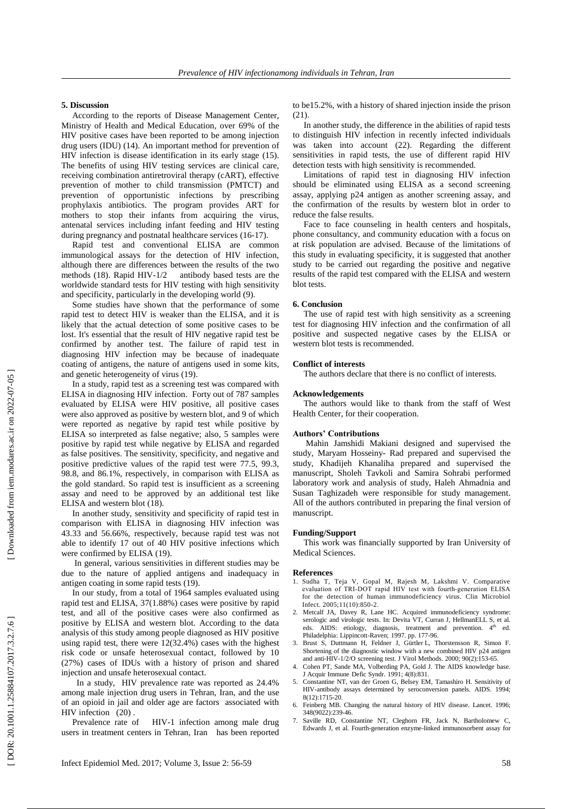# **5. Discussion**

According to the reports of Disease Management Cente r , Ministry of Health and Medical Education , over 69% of the HIV positive cases have been reported to be among injection drug users (IDU) (1 4 ). An important method for prevention of HIV infection is disease identification in its early stage ( 1 5 ). The benefits of using HIV testing services are clinical care, receiving combination antiretroviral therapy (cART), effective prevention of mother to child transmission (PMTCT) and prevention of opportunistic infections by prescribing prophylaxis antibiotics. The program provides ART for mothers to stop their infants from acquiring the virus, antenatal services including infant feeding and HIV testing during pregnancy and postnatal healthcare services (16-17).

Rapid test and conventional ELISA are common immunological assays for the detection of HIV infection, although there are differences between the results of the two methods (1 8 ) . Rapid HIV antibody based tests are the worldwide standard tests for HIV testing with high sensitivity and specificity, particularly in the developing world ( 9 ).

Some studies have shown that the performance of some rapid test to detect HIV is weaker than the ELISA , and it is likely that the actual detection of some positive cases to be lost. It's essential that the result of HIV negative rapid test be confirmed by another test. The failure of rapid test in diagnosing HIV infection may be because of inadequate coating of antigens, the nature of antigens used in some kits , and genetic heterogeneity of virus (19 ) .

In a study , rapid test as a screening test was compared with ELISA in diagnosing HIV infection. Forty out of 787 samples evaluated by ELISA were HIV positive, all positive cases were also approved as positive by western blot , and 9 of which were reported as negative by rapid test while positive by ELISA so interpreted as false negative ; also , 5 samples were positive by rapid test while negative by ELISA and regarded as false positives. The sensitivity, specificity, and negative and positive predictive values of the rapid test were 77.5, 99.3, 98.8 , and 86.1%, respectively , in comparison with ELISA as the gold standard . So rapid test is insufficient as a screening assay and need to be approved by an additional test like ELISA and western blot (1 8 ).

In another study , sensitivity and specificity of rapid test in comparison with ELISA in diagnosing HIV infection was 43.33 and 56.66% , respectively , because rapid test was not able to identify 17 out of 40 HIV positive infections which were confirmed by ELISA (19).

In general , various sensitivities in different studie s may be due to the nature of applied antigens and inadequacy in antigen coating in some rapid tests (19).

In our study , from a total of 1964 samples evaluated using rapid test and ELISA, 37(1.88%) cases were positive by rapid test , and all of the positive cases were also confirmed as positive by ELISA and western blot. According to the data analysis of this study among people diagnosed as HIV positive using rapid test, there were 12(32.4%) cases with the highest risk code or unsafe heterosexual contact , followed by 10 (27%) cases of IDUs with a history of prison and shared injection and unsafe heterosexual contact.

 In a study, HIV prevalence rate was reported as 24.4% among male injection drug users in Tehran, Iran , and the use of an opioid in jail and older age are factors associated with HIV infection (20) .

Prevalence rate of HIV-1 infection among male drug users in treatment centers in Tehran, Iran has been reported to be15.2%, with a history of shared injection inside the prison  $(21)$ .

In another study, the difference in the abilities of rapid tests to distinguish HIV infection in recently infected individuals was taken into account (22 ). Regarding the different sensitivities in rapid tests , the use of different rapid HIV detection test s with high sensitivity is recommended.

Limitations of rapid test in diagnosing HIV infection should be eliminated using ELISA as a second screening assay, applying p24 antigen as another screening assay , and the confirmation of the result s by western blot in order to reduce the false result s .

Face to face counseling in health centers and hospitals , phone consultancy , and community education with a focus on at risk population are advised. Because of the limitations of this study in evaluating specificity, it is suggested that another study to be carried out regarding the positive and negative results of the rapid test compared with the ELISA and western blot tests .

### **6. Conclusion**

The use of rapid test with high sensitivity as a screening test for diagnosing HIV infection and the confirmation of all positive and suspected negative cases by the ELISA or western blot tests is recommended.

# **Conflict of interests**

The authors declare that there is no conflict of interests .

# **Acknowledgements**

The authors would like to thank from the staff of West Health Center, for their cooperation.

## **Authors' Contributions**

Mahin Jamshidi Makiani designed and supervised the study, Maryam Hosseiny - Rad prepared and supervised the study, Khadijeh Khanaliha prepared and supervised the manuscript, Sholeh Tavkoli and Samira Sohrabi performed laboratory work and analysis of study, Haleh Ahmadnia and Susan Taghizadeh were responsible for study management . All of the authors contributed in preparing the final version of manuscript.

#### **Funding/Support**

This work was financially supported by Iran University of Medical Sciences.

## **References**

- 1. Sudha T, Teja V, Gopal M, Rajesh M, Lakshmi V. Comparative evaluation of TRI‐DOT rapid HIV test with fourth‐generation ELISA for the detection of human immunodeficiency virus. Clin Microbiol Infect. 2005;11(10):850 - 2 .
- 2. Metcalf JA, Davey R, Lane HC. Acquired immunodeficiency syndrome: serologic and virologic tests. In: Devita VT, Curran J, HellmanELL S, et al. eds. AIDS: etiology, diagnosis, treatment and prevention. 4<sup>th</sup> ed. Philadelphia: Lippincott-Raven; 1997. pp. 177-96.
- 3. Brust S, Duttmann H, Feldner J, Gürtler L, Thorstensson R, Simon F. Shortening of the diagnostic window with a new combined HIV p24 antigen and anti-HIV-1/2/O screening test. J Virol Methods. 2000; 90(2):153-65.
- 4. Cohen PT, Sande MA, Volberding PA, Gold J. The AIDS knowledge base. J Acquir Immune Defic Syndr. 1991; 4(8):831 .
- 5. Constantine NT, van der Groen G, Belsey EM, Tamashiro H. Sensitivity of HIV -antibody assays determined by seroconversion panels. AIDS. 1994; 8(12):1715 -20 .
- 6. Feinberg MB. Changing the natural history of HIV disease. Lancet. 1996; 348(9022):239 -46 .
- 7. Saville RD, Constantine NT, Cleghorn FR, Jack N, Bartholomew C, Edwards J*,* et al. Fourth -generation enzyme -linked immunosorbent assay for